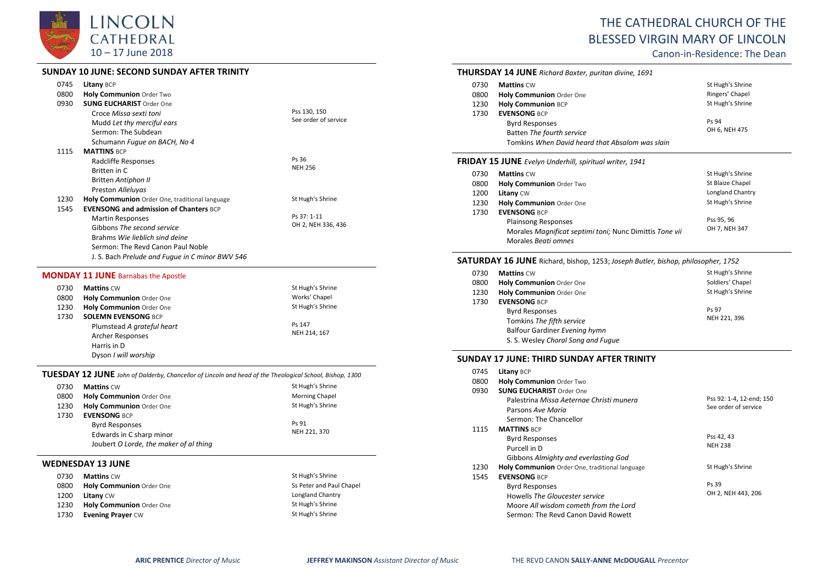

#### **SUNDAY 10 JUNE: SECOND SUNDAY AFTER TRINITY**

| 0745 | <b>Litany BCP</b>                               |                      |
|------|-------------------------------------------------|----------------------|
| 0800 | <b>Holy Communion Order Two</b>                 |                      |
|      |                                                 |                      |
| 0930 | <b>SUNG EUCHARIST Order One</b>                 | Pss 130, 150         |
|      | Croce Missa sexti toni                          | See order of service |
|      | Mudd Let thy merciful ears                      |                      |
|      | Sermon: The Subdean                             |                      |
|      | Schumann Fugue on BACH, No 4                    |                      |
| 1115 | <b>MATTINS BCP</b>                              |                      |
|      | Radcliffe Responses                             | Ps 36                |
|      | Britten in C                                    | <b>NEH 256</b>       |
|      | <b>Britten Antiphon II</b>                      |                      |
|      | Preston Alleluyas                               |                      |
| 1230 | Holy Communion Order One, traditional language  | St Hugh's Shrine     |
| 1545 | <b>EVENSONG and admission of Chanters BCP</b>   |                      |
|      | <b>Martin Responses</b>                         | Ps 37: 1-11          |
|      | Gibbons The second service                      | OH 2, NEH 336, 436   |
|      | Brahms Wie lieblich sind deine                  |                      |
|      | Sermon: The Revd Canon Paul Noble               |                      |
|      | J. S. Bach Prelude and Fugue in C minor BWV 546 |                      |

#### **MONDAY 11 JUNE** Barnabas the Apostle

| 0730 | <b>Mattins CW</b>               | St Hugh's Shrine |
|------|---------------------------------|------------------|
| 0800 | <b>Holy Communion Order One</b> | Works' Chapel    |
| 1230 | Holy Communion Order One        | St Hugh's Shrine |
| 1730 | <b>SOLEMN EVENSONG BCP</b>      |                  |
|      | Plumstead A grateful heart      | Ps 147           |
|      | <b>Archer Responses</b>         | NEH 214, 167     |
|      | Harris in D                     |                  |
|      | Dyson I will worship            |                  |

#### **TUESDAY 12 JUNE** *John of Dalderby, Chancellor of Lincoln and head of the Theological School, Bishop, 1300*

| 0730 | <b>Mattins CW</b>                      | St Hugh's Shrine      |
|------|----------------------------------------|-----------------------|
| 0800 | Holy Communion Order One               | <b>Morning Chapel</b> |
| 1230 | Holy Communion Order One               | St Hugh's Shrine      |
| 1730 | <b>EVENSONG BCP</b>                    |                       |
|      | <b>Byrd Responses</b>                  | Ps 91                 |
|      | Edwards in C sharp minor               | NEH 221, 370          |
|      | Joubert O Lorde, the maker of al thing |                       |

#### **WEDNESDAY 13 JUNE**

| 0730 | <b>Mattins CW</b>        | St Hugh's Shrine         |
|------|--------------------------|--------------------------|
| 0800 | Holy Communion Order One | Ss Peter and Paul Chapel |
| 1200 | <b>Litany CW</b>         | Longland Chantry         |
| 1230 | Holy Communion Order One | St Hugh's Shrine         |
| 1730 | <b>Evening Prayer CW</b> | St Hugh's Shrine         |

# THE CATHEDRAL CHURCH OF THE BLESSED VIRGIN MARY OF LINCOLN

Canon-in-Residence: The Dean

|                                                                | <b>THURSDAY 14 JUNE</b> Richard Baxter, puritan divine, 1691 |                  |
|----------------------------------------------------------------|--------------------------------------------------------------|------------------|
| 0730                                                           | <b>Mattins CW</b>                                            | St Hugh's Shrine |
| 0800                                                           | <b>Holy Communion Order One</b>                              | Ringers' Chapel  |
| 1230                                                           | <b>Holy Communion BCP</b>                                    | St Hugh's Shrine |
| 1730                                                           | <b>EVENSONG BCP</b>                                          |                  |
|                                                                | <b>Byrd Responses</b>                                        | Ps 94            |
|                                                                | Batten The fourth service                                    | OH 6, NEH 475    |
|                                                                | Tomkins When David heard that Absalom was slain              |                  |
| <b>FRIDAY 15 JUNE</b> Evelyn Underhill, spiritual writer, 1941 |                                                              |                  |
| 0730                                                           | <b>Mattins CW</b>                                            | St Hugh's Shrine |
| 0800                                                           | <b>Holy Communion Order Two</b>                              | St Blaize Chapel |
| 1200                                                           | Litany CW                                                    | Longland Chantry |
| 1230                                                           | <b>Holy Communion Order One</b>                              | St Hugh's Shrine |
| 1730                                                           | <b>EVENSONG BCP</b>                                          |                  |
|                                                                | <b>Plainsong Responses</b>                                   | Pss 95, 96       |
|                                                                | Morales Magnificat septimi toni; Nunc Dimittis Tone vii      | OH 7, NEH 347    |
|                                                                | Morales Beati omnes                                          |                  |

## **SATURDAY 16 JUNE** Richard, bishop, 1253; *Joseph Butler, bishop, philosopher, 1752*

| 0730 | <b>Mattins CW</b>                  | St Hugh's Shrine |
|------|------------------------------------|------------------|
| 0800 | Holy Communion Order One           | Soldiers' Chapel |
| 1230 | Holy Communion Order One           | St Hugh's Shrine |
| 1730 | <b>EVENSONG BCP</b>                |                  |
|      | <b>Byrd Responses</b>              | Ps 97            |
|      | Tomkins The fifth service          | NEH 221, 396     |
|      | Balfour Gardiner Evening hymn      |                  |
|      | S. S. Wesley Choral Song and Fugue |                  |

#### **SUNDAY 17 JUNE: THIRD SUNDAY AFTER TRINITY**

| 0745 | Litany BCP                                     |                          |
|------|------------------------------------------------|--------------------------|
| 0800 | <b>Holy Communion Order Two</b>                |                          |
| 0930 | <b>SUNG EUCHARIST Order One</b>                |                          |
|      | Palestrina Missa Aeternae Christi munera       | Pss 92: 1-4, 12-end; 150 |
|      | Parsons Ave Maria                              | See order of service     |
|      | Sermon: The Chancellor                         |                          |
| 1115 | <b>MATTINS BCP</b>                             |                          |
|      | <b>Byrd Responses</b>                          | Pss 42, 43               |
|      | Purcell in D                                   | <b>NEH 238</b>           |
|      | Gibbons Almighty and everlasting God           |                          |
| 1230 | Holy Communion Order One, traditional language | St Hugh's Shrine         |
| 1545 | <b>EVENSONG BCP</b>                            |                          |
|      | <b>Byrd Responses</b>                          | Ps 39                    |
|      | Howells The Gloucester service                 | OH 2, NEH 443, 206       |
|      | Moore All wisdom cometh from the Lord          |                          |
|      | Sermon: The Revd Canon David Rowett            |                          |